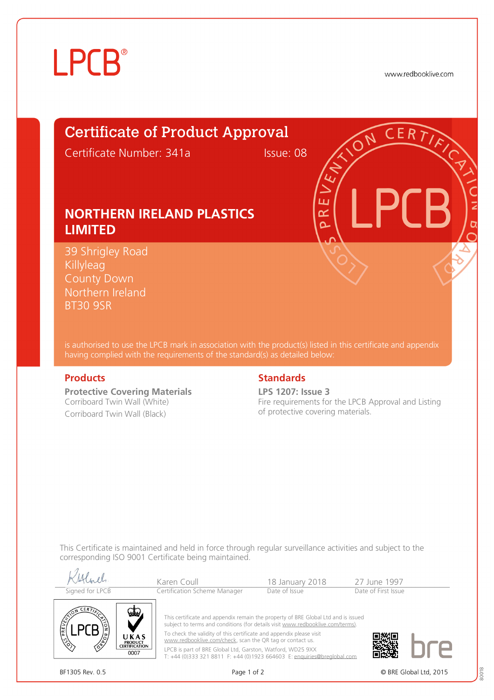# **LPCB**®

www.redbooklive.com

# Certificate of Product Approval

Certificate Number: 341a Issue: 08

ய œ  $\overline{\Omega}$ 

## **NORTHERN IRELAND PLASTICS LIMITED**

39 Shrigley Road **Killyleag** County Down Northern Ireland BT30 9SR

is authorised to use the LPCB mark in association with the product(s) listed in this certificate and appendix having complied with the requirements of the standard(s) as detailed below:

**Protective Covering Materials** Corriboard Twin Wall (White) Corriboard Twin Wall (Black)

### **Products Standards**

**LPS 1207: Issue 3** Fire requirements for the LPCB Approval and Listing of protective covering materials.

This Certificate is maintained and held in force through regular surveillance activities and subject to the corresponding ISO 9001 Certificate being maintained.

| Signed for LPCB                                                             | Karen Coull<br>Certification Scheme Manager                                                                                                                                                                                                                                                                                                                                                                                                      | 18 January 2018<br>Date of Issue | 27 June 1997<br>Date of First Issue |  |
|-----------------------------------------------------------------------------|--------------------------------------------------------------------------------------------------------------------------------------------------------------------------------------------------------------------------------------------------------------------------------------------------------------------------------------------------------------------------------------------------------------------------------------------------|----------------------------------|-------------------------------------|--|
| <b>CERT</b><br>UKAS<br><b>PRODUCT</b><br>∕ి<br><b>CERTIFICATION</b><br>0007 | This certificate and appendix remain the property of BRE Global Ltd and is issued<br>subject to terms and conditions (for details visit www.redbooklive.com/terms).<br>To check the validity of this certificate and appendix please visit<br>www.redbooklive.com/check, scan the QR tag or contact us.<br>LPCB is part of BRE Global Ltd, Garston, Watford, WD25 9XX<br>T: +44 (0)333 321 8811 F: +44 (0)1923 664603 E: enquiries@breglobal.com |                                  |                                     |  |



BF1305 Rev. 0.5 **Page 1 of 2** Page 1 of 2 © BRE Global Ltd. 2015